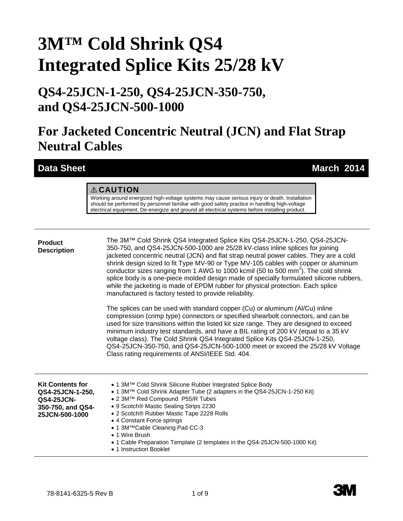# **3M™ Cold Shrink QS4 Integrated Splice Kits 25/28 kV**

### **QS4-25JCN-1-250, QS4-25JCN-350-750, and QS4-25JCN-500-1000**

## **For Jacketed Concentric Neutral (JCN) and Flat Strap Neutral Cables**

**Data Sheet March 2014** 

#### A CAUTION

Working around energized high-voltage systems may cause serious injury or death. Installation should be performed by personnel familiar with good safety practice in handling high-voltage electrical equipment. De-energize and ground all electrical systems before installing product.

#### **Product Description**

The 3M™ Cold Shrink QS4 Integrated Splice Kits QS4-25JCN-1-250, QS4-25JCN-350-750, and QS4-25JCN-500-1000 are 25/28 kV-class inline splices for joining jacketed concentric neutral (JCN) and flat strap neutral power cables. They are a cold shrink design sized to fit Type MV-90 or Type MV-105 cables with copper or aluminum conductor sizes ranging from 1 AWG to 1000 kcmil (50 to 500 mm<sup>2</sup>). The cold shrink splice body is a one-piece molded design made of specially formulated silicone rubbers, while the jacketing is made of EPDM rubber for physical protection. Each splice manufactured is factory tested to provide reliability.

The splices can be used with standard copper (Cu) or aluminum (Al/Cu) inline compression (crimp type) connectors or specified shearbolt connectors, and can be used for size transitions within the listed kit size range. They are designed to exceed minimum industry test standards, and have a BIL rating of 200 kV (equal to a 35 kV voltage class). The Cold Shrink QS4 Integrated Splice Kits QS4-25JCN-1-250, QS4-25JCN-350-750, and QS4-25JCN-500-1000 meet or exceed the 25/28 kV Voltage Class rating requirements of ANSI/IEEE Std. 404.

| <b>Kit Contents for</b> | • 1 3M <sup>TM</sup> Cold Shrink Silicone Rubber Integrated Splice Body                                                                                                    |
|-------------------------|----------------------------------------------------------------------------------------------------------------------------------------------------------------------------|
| QS4-25JCN-1-250,        | • 1 3MTM Cold Shrink Adapter Tube (2 adapters in the QS4-25JCN-1-250 Kit)                                                                                                  |
| <b>QS4-25JCN-</b>       | • 2 3M™ Red Compound P55/R Tubes                                                                                                                                           |
| 350-750, and QS4-       | • 9 Scotch® Mastic Sealing Strips 2230                                                                                                                                     |
| 25JCN-500-1000          | • 2 Scotch® Rubber Mastic Tape 2228 Rolls                                                                                                                                  |
|                         | • 4 Constant Force springs<br>• 1 3M <sup>TM</sup> Cable Cleaning Pad CC-3<br>• 1 Wire Brush<br>• 1 Cable Preparation Template (2 templates in the QS4-25JCN-500-1000 Kit) |

• 1 Instruction Booklet

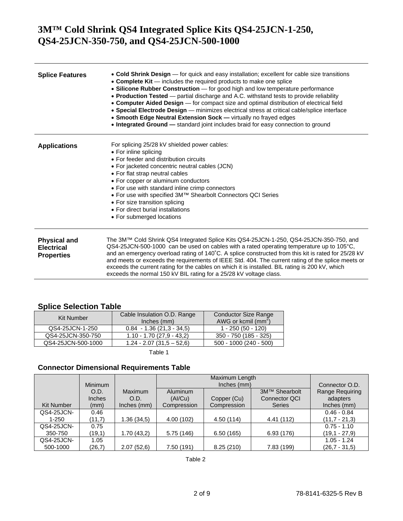| <b>Splice Features</b>                                        | • Cold Shrink Design - for quick and easy installation; excellent for cable size transitions<br>• Complete Kit — includes the required products to make one splice<br>• Silicone Rubber Construction - for good high and low temperature performance<br>• Production Tested — partial discharge and A.C. withstand tests to provide reliability<br>• Computer Aided Design - for compact size and optimal distribution of electrical field<br>• Special Electrode Design - minimizes electrical stress at critical cable/splice interface<br>• Smooth Edge Neutral Extension Sock - virtually no frayed edges<br>. Integrated Ground - standard joint includes braid for easy connection to ground |
|---------------------------------------------------------------|----------------------------------------------------------------------------------------------------------------------------------------------------------------------------------------------------------------------------------------------------------------------------------------------------------------------------------------------------------------------------------------------------------------------------------------------------------------------------------------------------------------------------------------------------------------------------------------------------------------------------------------------------------------------------------------------------|
| <b>Applications</b>                                           | For splicing 25/28 kV shielded power cables:<br>• For inline splicing<br>• For feeder and distribution circuits<br>• For jacketed concentric neutral cables (JCN)<br>• For flat strap neutral cables<br>• For copper or aluminum conductors<br>• For use with standard inline crimp connectors<br>• For use with specified 3M™ Shearbolt Connectors QCI Series<br>• For size transition splicing<br>• For direct burial installations<br>• For submerged locations                                                                                                                                                                                                                                 |
| <b>Physical and</b><br><b>Electrical</b><br><b>Properties</b> | The 3M™ Cold Shrink QS4 Integrated Splice Kits QS4-25JCN-1-250, QS4-25JCN-350-750, and<br>QS4-25JCN-500-1000 can be used on cables with a rated operating temperature up to 105°C,<br>and an emergency overload rating of 140°C. A splice constructed from this kit is rated for 25/28 kV<br>and meets or exceeds the requirements of IEEE Std. 404. The current rating of the splice meets or<br>exceeds the current rating for the cables on which it is installed. BIL rating is 200 kV, which<br>exceeds the normal 150 kV BIL rating for a 25/28 kV voltage class.                                                                                                                            |

#### **Splice Selection Table**

| Kit Number         | Cable Insulation O.D. Range<br>Inches (mm) | <b>Conductor Size Range</b><br>AWG or kcmil $(mm^2)$ |
|--------------------|--------------------------------------------|------------------------------------------------------|
| QS4-25JCN-1-250    | $0.84 - 1.36(21.3 - 34.5)$                 | 1 - 250 (50 - 120)                                   |
| QS4-25JCN-350-750  | $1.10 - 1.70(27.9 - 43.2)$                 | 350 - 750 (185 - 325)                                |
| QS4-25JCN-500-1000 | $1.24 - 2.07(31.5 - 52.6)$                 | 500 - 1000 (240 - 500)                               |
|                    |                                            |                                                      |

Table 1

#### **Connector Dimensional Requirements Table**

|                   |                |             |                 | Maximum Length |                      |                        |
|-------------------|----------------|-------------|-----------------|----------------|----------------------|------------------------|
|                   | <b>Minimum</b> |             |                 | Inches (mm)    |                      | Connector O.D.         |
|                   | O.D.           | Maximum     | <b>Aluminum</b> |                | 3M™ Shearbolt        | <b>Range Requiring</b> |
|                   | <b>Inches</b>  | O.D.        | (AI/Cu)         | Copper (Cu)    | <b>Connector QCI</b> | adapters               |
| <b>Kit Number</b> | (mm)           | Inches (mm) | Compression     | Compression    | <b>Series</b>        | Inches (mm)            |
| QS4-25JCN-        | 0.46           |             |                 |                |                      | $0.46 - 0.84$          |
| $1 - 250$         | (11,7)         | 1.36(34,5)  | 4.00 (102)      | 4.50 (114)     | 4.41 (112)           | $(11.7 - 21.3)$        |
| QS4-25JCN-        | 0.75           |             |                 |                |                      | $0.75 - 1.10$          |
| 350-750           | (19,1)         | 1.70 (43,2) | 5.75(146)       | 6.50(165)      | 6.93(176)            | $(19.1 - 27.9)$        |
| QS4-25JCN-        | 1.05           |             |                 |                |                      | $1.05 - 1.24$          |
| 500-1000          | (26,7)         | 2.07(52,6)  | 7.50 (191)      | 8.25(210)      | 7.83 (199)           | $(26,7 - 31,5)$        |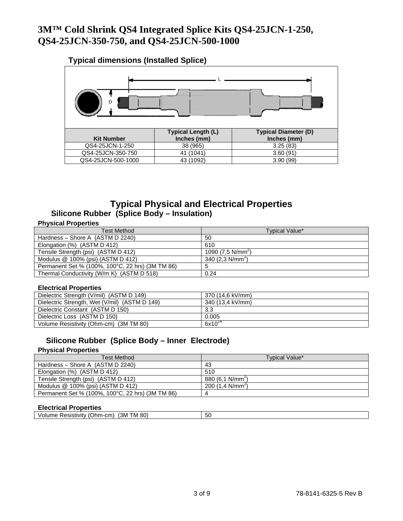### **Typical dimensions (Installed Splice) Kit Number Typical Length (L) Inches (mm) Typical Diameter (D) Inches (mm)**  QS4-25JCN-1-250 38 (965) 38 (965) 3.25 (83)<br>QS4-25JCN-350-750 41 (1041) 3.60 (91) QS4-25JCN-350-750 QS4-25JCN-500-1000 43 (1092) 3.90 (99) D  $\mathbf{L}$

### **Typical Physical and Electrical Properties Silicone Rubber (Splice Body – Insulation)**

#### **Physical Properties**

| <b>Test Method</b>                               | Typical Value*             |
|--------------------------------------------------|----------------------------|
| Hardness – Shore A (ASTM D 2240)                 | 50                         |
| Elongation (%) (ASTM D 412)                      | 610                        |
| Tensile Strength (psi) (ASTM D 412)              | 1090 $(7.5 N/mm2)$         |
| Modulus $@$ 100% (psi) (ASTM D 412)              | 340 $(2,3 \text{ N/mm}^2)$ |
| Permanent Set % (100%, 100°C, 22 hrs) (3M TM 86) | 5                          |
| Thermal Conductivity (W/m K) (ASTM D 518)        | 0.24                       |

#### **Electrical Properties**

| Dielectric Strength (V/mil) (ASTM D 149)      | 370 (14.6 kV/mm) |
|-----------------------------------------------|------------------|
| Dielectric Strength, Wet (V/mil) (ASTM D 149) | 340 (13.4 kV/mm) |
| Dielectric Constant (ASTM D 150)              | 3.3              |
| Dielectric Loss (ASTM D 150)                  | 0.005            |
| Volume Resistivity (Ohm-cm) (3M TM 80)        | $6x10^{14}$      |

#### **Silicone Rubber (Splice Body – Inner Electrode)**

#### **Physical Properties**

| <b>Test Method</b>                               | <b>Typical Value*</b>      |
|--------------------------------------------------|----------------------------|
| Hardness – Shore A (ASTM D 2240)                 | 43                         |
| Elongation (%) (ASTM D 412)                      | 510                        |
| Tensile Strength (psi) (ASTM D 412)              | 880 $(6,1 \text{ N/mm}^2)$ |
| Modulus $@$ 100% (psi) (ASTM D 412)              | 200 $(1.4 \text{ N/mm}^2)$ |
| Permanent Set % (100%, 100°C, 22 hrs) (3M TM 86) | 4                          |

#### **Electrical Properties**

| 80<br>$ \sim$<br>ΈЗΜ<br>cm)<br>PACICTIVIT<br>M<br>Jhm-<br>οu<br>'ne<br>$\mathbf{M}$<br><br>1 V I I<br>ווסוכס<br>$\cdots$ | . |  |
|--------------------------------------------------------------------------------------------------------------------------|---|--|
|                                                                                                                          |   |  |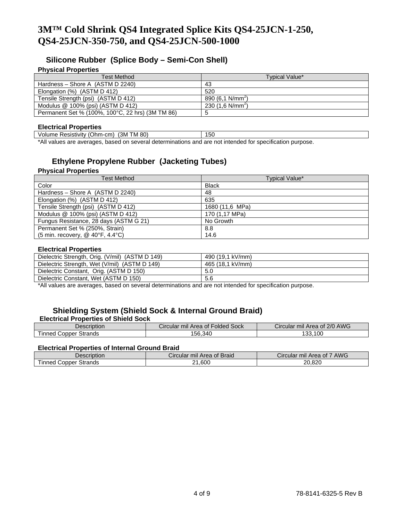#### **Silicone Rubber (Splice Body – Semi-Con Shell)**

#### **Physical Properties**

| Test Method                                      | Typical Value*               |
|--------------------------------------------------|------------------------------|
| Hardness - Shore A (ASTM D 2240)                 | 43                           |
| Elongation (%) (ASTM D 412)                      | 520                          |
| Tensile Strength (psi) (ASTM D 412)              | 890 $(6,1 \text{ N/mm}^2)$   |
| Modulus $@$ 100% (psi) (ASTM D 412)              | 230 (1.6 N/mm <sup>2</sup> ) |
| Permanent Set % (100%, 100°C, 22 hrs) (3M TM 86) | b                            |

#### **Electrical Properties**

| (3M TM 80)<br>Volume Resistivity (Ohm-cm)                                                    | эu |  |
|----------------------------------------------------------------------------------------------|----|--|
| thus are average theory or covered determinations and are not intended for aposition purpose |    |  |

\*All values are averages, based on several determinations and are not intended for specification purpose.

#### **Ethylene Propylene Rubber (Jacketing Tubes)**

#### **Physical Properties**

| <b>Test Method</b>                     | Typical Value*  |
|----------------------------------------|-----------------|
| Color                                  | <b>Black</b>    |
| Hardness - Shore A (ASTM D 2240)       | 48              |
| Elongation (%) (ASTM D 412)            | 635             |
| Tensile Strength (psi) (ASTM D 412)    | 1680 (11,6 MPa) |
| Modulus @ 100% (psi) (ASTM D 412)      | 170 (1,17 MPa)  |
| Fungus Resistance, 28 days (ASTM G 21) | No Growth       |
| Permanent Set % (250%, Strain)         | 8.8             |
| (5 min. recovery, $@$ 40°F, 4.4°C)     | 14.6            |

#### **Electrical Properties**

| Dielectric Strength, Orig. (V/mil) (ASTM D 149) | 490 (19.1 kV/mm) |
|-------------------------------------------------|------------------|
| Dielectric Strength, Wet (V/mil) (ASTM D 149)   | 465 (18.1 kV/mm) |
| Dielectric Constant, Orig. (ASTM D 150)         | 5.0              |
| Dielectric Constant, Wet (ASTM D 150)           | 5.6              |

\*All values are averages, based on several determinations and are not intended for specification purpose.

### **Shielding System (Shield Sock & Internal Ground Braid)**

#### **Electrical Properties of Shield Sock**

| Description                  | r mil Area of Folded Sock<br>Circular | mil Area of 2/0 AWG<br>Circular |
|------------------------------|---------------------------------------|---------------------------------|
| Strands<br>Copper<br>I inned | 156.340                               | 133,100                         |

#### **Electrical Properties of Internal Ground Braid**

| Description                                    | Circular mil Area of Braid | AWG<br>Circular mil Area of 7 |
|------------------------------------------------|----------------------------|-------------------------------|
| $- \cdot$<br>Strands<br>Copper<br><b>Inned</b> | 600.،<br>ົາ                | 20.820                        |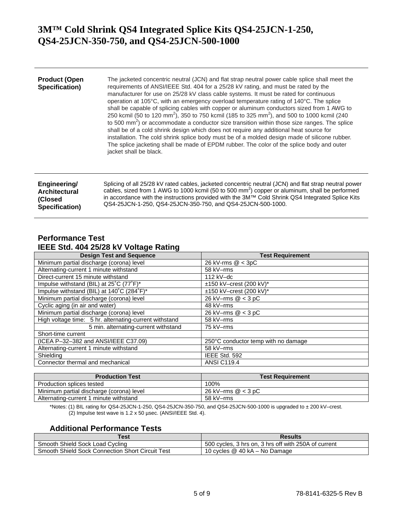| <b>Product (Open</b><br>Specification) | The jacketed concentric neutral (JCN) and flat strap neutral power cable splice shall meet the<br>requirements of ANSI/IEEE Std. 404 for a 25/28 kV rating, and must be rated by the<br>manufacturer for use on 25/28 kV class cable systems. It must be rated for continuous<br>operation at 105°C, with an emergency overload temperature rating of 140°C. The splice<br>shall be capable of splicing cables with copper or aluminum conductors sized from 1 AWG to<br>250 kcmil (50 to 120 mm <sup>2</sup> ), 350 to 750 kcmil (185 to 325 mm <sup>2</sup> ), and 500 to 1000 kcmil (240<br>to 500 mm <sup>2</sup> ) or accommodate a conductor size transition within those size ranges. The splice<br>shall be of a cold shrink design which does not require any additional heat source for<br>installation. The cold shrink splice body must be of a molded design made of silicone rubber.<br>The splice jacketing shall be made of EPDM rubber. The color of the splice body and outer<br>jacket shall be black. |
|----------------------------------------|---------------------------------------------------------------------------------------------------------------------------------------------------------------------------------------------------------------------------------------------------------------------------------------------------------------------------------------------------------------------------------------------------------------------------------------------------------------------------------------------------------------------------------------------------------------------------------------------------------------------------------------------------------------------------------------------------------------------------------------------------------------------------------------------------------------------------------------------------------------------------------------------------------------------------------------------------------------------------------------------------------------------------|
| Engineering/                           | Splicing of all 25/28 kV rated cables, jacketed concentric neutral (JCN) and flat strap neutral power                                                                                                                                                                                                                                                                                                                                                                                                                                                                                                                                                                                                                                                                                                                                                                                                                                                                                                                     |
| <b>Architectural</b>                   | cables, sized from 1 AWG to 1000 kcmil (50 to 500 mm <sup>2</sup> ) copper or aluminum, shall be performed                                                                                                                                                                                                                                                                                                                                                                                                                                                                                                                                                                                                                                                                                                                                                                                                                                                                                                                |
| (Closed                                | in accordance with the instructions provided with the 3M™ Cold Shrink QS4 Integrated Splice Kits                                                                                                                                                                                                                                                                                                                                                                                                                                                                                                                                                                                                                                                                                                                                                                                                                                                                                                                          |

QS4-25JCN-1-250, QS4-25JCN-350-750, and QS4-25JCN-500-1000.

#### **Performance Test IEEE Std. 404 25/28 kV Voltage Rating**

**Specification)**

| <b>Design Test and Sequence</b>                        | <b>Test Requirement</b>             |
|--------------------------------------------------------|-------------------------------------|
| Minimum partial discharge (corona) level               | 26 kV-rms $@ < 3pC$                 |
| Alternating-current 1 minute withstand                 | 58 kV-rms                           |
| Direct-current 15 minute withstand                     | $112$ kV-dc                         |
| Impulse withstand (BIL) at 25°C (77°F)*                | ±150 kV-crest (200 kV)*             |
| Impulse withstand (BIL) at 140°C (284°F)*              | $±150$ kV-crest (200 kV)*           |
| Minimum partial discharge (corona) level               | $\overline{26}$ kV-rms $@$ < 3 pC   |
| Cyclic aging (in air and water)                        | 48 kV-rms                           |
| Minimum partial discharge (corona) level               | 26 kV-rms $@ < 3 pC$                |
| High voltage time: 5 hr. alternating-current withstand | 58 kV-rms                           |
| 5 min. alternating-current withstand                   | 75 kV-rms                           |
| Short-time current                                     |                                     |
| (ICEA P-32-382 and ANSI/IEEE C37.09)                   | 250°C conductor temp with no damage |
| Alternating-current 1 minute withstand                 | 58 kV-rms                           |
| Shielding                                              | IEEE Std. 592                       |
| Connector thermal and mechanical                       | <b>ANSI C119.4</b>                  |

| <b>Production Test</b>                   | <b>Test Requirement</b> |
|------------------------------------------|-------------------------|
| Production splices tested                | 100%                    |
| Minimum partial discharge (corona) level | 26 kV-rms $@ < 3$ pC    |
| Alternating-current 1 minute withstand   | 58 kV–rms               |

\*Notes: (1) BIL rating for QS4-25JCN-1-250, QS4-25JCN-350-750, and QS4-25JCN-500-1000 is upgraded to ± 200 kV–crest. (2) Impulse test wave is 1.2 x 50 µsec. (ANSI/IEEE Std. 4).

#### **Additional Performance Tests**

| Test                                             | <b>Results</b>                                       |
|--------------------------------------------------|------------------------------------------------------|
| Smooth Shield Sock Load Cycling                  | 500 cycles, 3 hrs on, 3 hrs off with 250A of current |
| Smooth Shield Sock Connection Short Circuit Test | 10 cycles @ 40 kA - No Damage                        |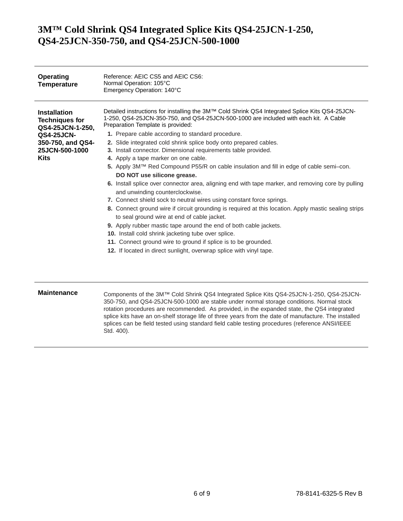| Operating<br><b>Temperature</b>                                                                                                      | Reference: AEIC CS5 and AEIC CS6:<br>Normal Operation: 105°C<br>Emergency Operation: 140°C                                                                                                                                                                                                                                                                                                                                                                                                                                                                                                                                                                                                                                                                                                                                                                                                                                                                                                                                                                                                                                                                                                                                               |
|--------------------------------------------------------------------------------------------------------------------------------------|------------------------------------------------------------------------------------------------------------------------------------------------------------------------------------------------------------------------------------------------------------------------------------------------------------------------------------------------------------------------------------------------------------------------------------------------------------------------------------------------------------------------------------------------------------------------------------------------------------------------------------------------------------------------------------------------------------------------------------------------------------------------------------------------------------------------------------------------------------------------------------------------------------------------------------------------------------------------------------------------------------------------------------------------------------------------------------------------------------------------------------------------------------------------------------------------------------------------------------------|
| <b>Installation</b><br><b>Techniques for</b><br>QS4-25JCN-1-250,<br><b>QS4-25JCN-</b><br>350-750, and QS4-<br>25JCN-500-1000<br>Kits | Detailed instructions for installing the 3M™ Cold Shrink QS4 Integrated Splice Kits QS4-25JCN-<br>1-250, QS4-25JCN-350-750, and QS4-25JCN-500-1000 are included with each kit. A Cable<br>Preparation Template is provided:<br>1. Prepare cable according to standard procedure.<br>2. Slide integrated cold shrink splice body onto prepared cables.<br>3. Install connector. Dimensional requirements table provided.<br>4. Apply a tape marker on one cable.<br>5. Apply 3M™ Red Compound P55/R on cable insulation and fill in edge of cable semi–con.<br>DO NOT use silicone grease.<br>6. Install splice over connector area, aligning end with tape marker, and removing core by pulling<br>and unwinding counterclockwise.<br>7. Connect shield sock to neutral wires using constant force springs.<br>8. Connect ground wire if circuit grounding is required at this location. Apply mastic sealing strips<br>to seal ground wire at end of cable jacket.<br>9. Apply rubber mastic tape around the end of both cable jackets.<br>10. Install cold shrink jacketing tube over splice.<br>11. Connect ground wire to ground if splice is to be grounded.<br>12. If located in direct sunlight, overwrap splice with vinyl tape. |
| <b>Maintenance</b>                                                                                                                   | Components of the 3M™ Cold Shrink QS4 Integrated Splice Kits QS4-25JCN-1-250, QS4-25JCN-<br>350-750, and QS4-25JCN-500-1000 are stable under normal storage conditions. Normal stock<br>rotation procedures are recommended. As provided, in the expanded state, the QS4 integrated                                                                                                                                                                                                                                                                                                                                                                                                                                                                                                                                                                                                                                                                                                                                                                                                                                                                                                                                                      |

rotation procedures are recommended. As provided, in the expanded state, the QS4 integrated splice kits have an on-shelf storage life of three years from the date of manufacture. The installed splices can be field tested using standard field cable testing procedures (reference ANSI/IEEE Std. 400).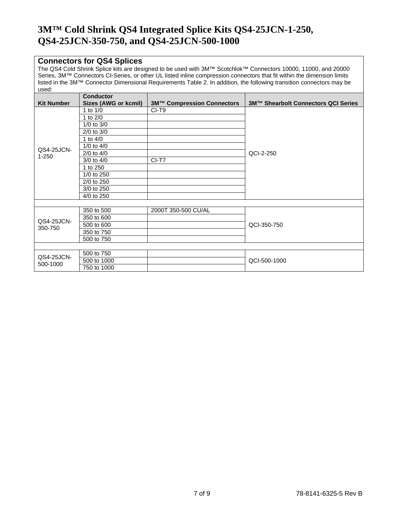#### **Connectors for QS4 Splices**

The QS4 Cold Shrink Splice kits are designed to be used with 3M™ Scotchlok™ Connectors 10000, 11000, and 20000 Series, 3M™ Connectors CI-Series, or other UL listed inline compression connectors that fit within the dimension limits listed in the 3M™ Connector Dimensional Requirements Table 2. In addition, the following transition connectors may be used:

|                   | <b>Conductor</b>     |                                   |                                     |
|-------------------|----------------------|-----------------------------------|-------------------------------------|
| <b>Kit Number</b> | Sizes (AWG or kcmil) | <b>3M™ Compression Connectors</b> | 3M™ Shearbolt Connectors QCI Series |
|                   | 1 to $1/0$           | CI-T9                             |                                     |
|                   | 1 to $2/0$           |                                   |                                     |
|                   | $1/0$ to $3/0$       |                                   |                                     |
|                   | $2/0$ to $3/0$       |                                   |                                     |
|                   | 1 to $4/0$           |                                   |                                     |
| QS4-25JCN-        | $1/0$ to $4/0$       |                                   |                                     |
| $1 - 250$         | $2/0$ to $4/0$       |                                   | QCI-2-250                           |
|                   | $3/0$ to $4/0$       | CI-T7                             |                                     |
|                   | 1 to 250             |                                   |                                     |
|                   | $1/0$ to 250         |                                   |                                     |
|                   | 2/0 to 250           |                                   |                                     |
|                   | 3/0 to 250           |                                   |                                     |
|                   | 4/0 to 250           |                                   |                                     |
|                   |                      |                                   |                                     |
|                   | 350 to 500           | 2000T 350-500 CU/AL               |                                     |
| QS4-25JCN-        | 350 to 600           |                                   |                                     |
| 350-750           | 500 to 600           |                                   | QCI-350-750                         |
|                   | 350 to 750           |                                   |                                     |
|                   | 500 to 750           |                                   |                                     |
|                   |                      |                                   |                                     |
| QS4-25JCN-        | 500 to 750           |                                   |                                     |
|                   | 500 to 1000          |                                   | QCI-500-1000                        |
| 500-1000          | 750 to 1000          |                                   |                                     |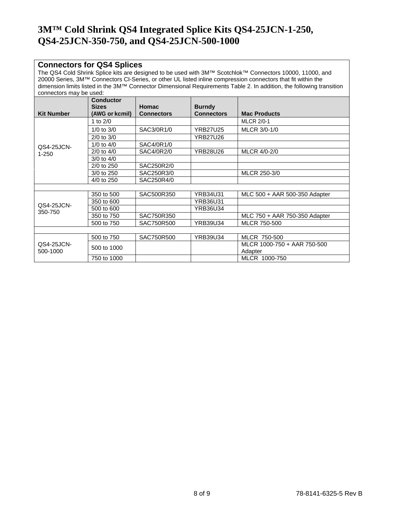#### **Connectors for QS4 Splices**

The QS4 Cold Shrink Splice kits are designed to be used with 3M™ Scotchlok™ Connectors 10000, 11000, and 20000 Series, 3M™ Connectors CI-Series, or other UL listed inline compression connectors that fit within the dimension limits listed in the 3M™ Connector Dimensional Requirements Table 2. In addition, the following transition connectors may be used:

| <b>Kit Number</b>      | <b>Conductor</b><br><b>Sizes</b><br>(AWG or kcmil) | <b>Homac</b><br><b>Connectors</b> | <b>Burndy</b><br><b>Connectors</b> | <b>Mac Products</b>           |
|------------------------|----------------------------------------------------|-----------------------------------|------------------------------------|-------------------------------|
|                        | 1 to $2/0$                                         |                                   |                                    | <b>MLCR 2/0-1</b>             |
|                        | $1/0$ to $3/0$                                     | SAC3/0R1/0                        | <b>YRB27U25</b>                    | MLCR 3/0-1/0                  |
|                        | $2/0$ to $3/0$                                     |                                   | <b>YRB27U26</b>                    |                               |
| QS4-25JCN-             | $1/0$ to $4/0$                                     | SAC4/0R1/0                        |                                    |                               |
| $1 - 250$              | $2/0$ to $4/0$                                     | SAC4/0R2/0                        | <b>YRB28U26</b>                    | MLCR 4/0-2/0                  |
|                        | $3/0$ to $4/0$                                     |                                   |                                    |                               |
|                        | 2/0 to 250                                         | SAC250R2/0                        |                                    |                               |
|                        | 3/0 to 250                                         | SAC250R3/0                        |                                    | MLCR 250-3/0                  |
|                        | 4/0 to 250                                         | SAC250R4/0                        |                                    |                               |
|                        |                                                    |                                   |                                    |                               |
|                        | 350 to 500                                         | SAC500R350                        | <b>YRB34U31</b>                    | MLC 500 + AAR 500-350 Adapter |
| QS4-25JCN-             | 350 to 600                                         |                                   | YRB36U31                           |                               |
| 350-750                | 500 to 600                                         |                                   | YRB36U34                           |                               |
|                        | 350 to 750                                         | SAC750R350                        |                                    | MLC 750 + AAR 750-350 Adapter |
|                        | 500 to 750                                         | SAC750R500                        | <b>YRB39U34</b>                    | MLCR 750-500                  |
|                        |                                                    |                                   |                                    |                               |
|                        | 500 to 750                                         | SAC750R500                        | YRB39U34                           | MLCR 750-500                  |
| QS4-25JCN-<br>500-1000 | 500 to 1000                                        |                                   |                                    | MLCR 1000-750 + AAR 750-500   |
|                        |                                                    |                                   |                                    | Adapter                       |
|                        | 750 to 1000                                        |                                   |                                    | MLCR 1000-750                 |